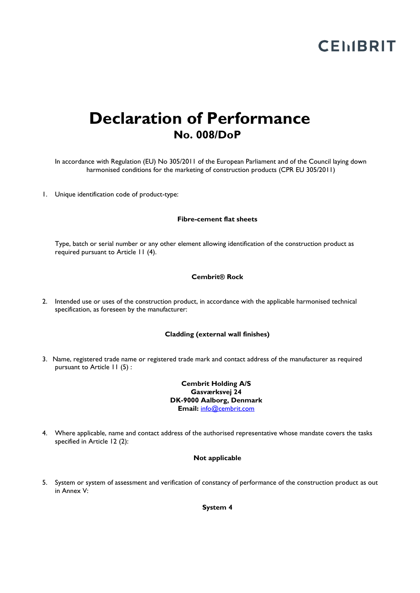# **CEMBRIT**

# **Declaration of Performance No. 008/DoP**

In accordance with Regulation (EU) No 305/2011 of the European Parliament and of the Council laying down harmonised conditions for the marketing of construction products (CPR EU 305/2011)

1. Unique identification code of product-type:

#### **Fibre-cement flat sheets**

Type, batch or serial number or any other element allowing identification of the construction product as required pursuant to Article 11 (4).

#### **Cembrit® Rock**

2. Intended use or uses of the construction product, in accordance with the applicable harmonised technical specification, as foreseen by the manufacturer:

#### **Cladding (external wall finishes)**

3. Name, registered trade name or registered trade mark and contact address of the manufacturer as required pursuant to Article 11 (5) :

> **Cembrit Holding A/S Gasværksvej 24 DK-9000 Aalborg, Denmark Email:** info@cembrit.com

4. Where applicable, name and contact address of the authorised representative whose mandate covers the tasks specified in Article 12 (2):

#### **Not applicable**

5. System or system of assessment and verification of constancy of performance of the construction product as out in Annex V:

**System 4**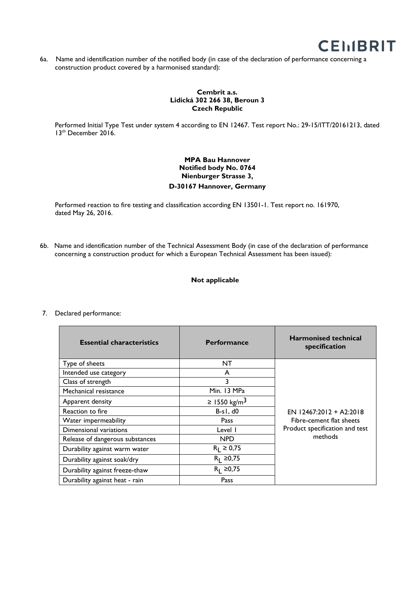

6a. Name and identification number of the notified body (in case of the declaration of performance concerning a construction product covered by a harmonised standard):

#### **Cembrit a.s. Lidická 302 266 38, Beroun 3 Czech Republic**

Performed Initial Type Test under system 4 according to EN 12467. Test report No.: 29-15/ITT/20161213, dated 13<sup>th</sup> December 2016.

## **MPA Bau Hannover Notified body No. 0764 Nienburger Strasse 3, D-30167 Hannover, Germany**

Performed reaction to fire testing and classification according EN 13501-1. Test report no. 161970, dated May 26, 2016.

6b. Name and identification number of the Technical Assessment Body (in case of the declaration of performance concerning a construction product for which a European Technical Assessment has been issued):

### **Not applicable**

| <b>Essential characteristics</b> | <b>Performance</b>       | <b>Harmonised technical</b><br>specification                                                       |
|----------------------------------|--------------------------|----------------------------------------------------------------------------------------------------|
| Type of sheets                   | NT                       | EN $12467:2012 + A2:2018$<br>Fibre-cement flat sheets<br>Product specification and test<br>methods |
| Intended use category            | A                        |                                                                                                    |
| Class of strength                | 3                        |                                                                                                    |
| Mechanical resistance            | Min. 13 MPa              |                                                                                                    |
| Apparent density                 | ≥ 1550 kg/m <sup>3</sup> |                                                                                                    |
| Reaction to fire                 | $B-sI, d0$               |                                                                                                    |
| Water impermeability             | Pass                     |                                                                                                    |
| Dimensional variations           | Level I                  |                                                                                                    |
| Release of dangerous substances  | <b>NPD</b>               |                                                                                                    |
| Durability against warm water    | $R_1 \ge 0.75$           |                                                                                                    |
| Durability against soak/dry      | $R_1 \ge 0.75$           |                                                                                                    |
| Durability against freeze-thaw   | $R_1 \ge 0.75$           |                                                                                                    |
| Durability against heat - rain   | Pass                     |                                                                                                    |

#### 7. Declared performance: